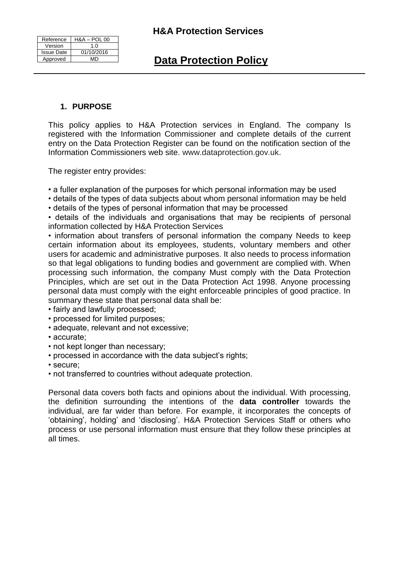| Reference         | <b>H&amp;A - POL 00</b> |
|-------------------|-------------------------|
| Version           | 1 በ                     |
| <b>Issue Date</b> | 01/10/2016              |
| Approved          | MD                      |

# **1. PURPOSE**

This policy applies to H&A Protection services in England. The company Is registered with the Information Commissioner and complete details of the current entry on the Data Protection Register can be found on the notification section of the Information Commissioners web site. www.dataprotection.gov.uk.

The register entry provides:

• a fuller explanation of the purposes for which personal information may be used

- details of the types of data subjects about whom personal information may be held
- details of the types of personal information that may be processed

• details of the individuals and organisations that may be recipients of personal information collected by H&A Protection Services

• information about transfers of personal information the company Needs to keep certain information about its employees, students, voluntary members and other users for academic and administrative purposes. It also needs to process information so that legal obligations to funding bodies and government are complied with. When processing such information, the company Must comply with the Data Protection Principles, which are set out in the Data Protection Act 1998. Anyone processing personal data must comply with the eight enforceable principles of good practice. In summary these state that personal data shall be:

- fairly and lawfully processed;
- processed for limited purposes;
- adequate, relevant and not excessive;
- accurate;
- not kept longer than necessary;
- processed in accordance with the data subject's rights;
- secure;
- not transferred to countries without adequate protection.

Personal data covers both facts and opinions about the individual. With processing, the definition surrounding the intentions of the **data controller** towards the individual, are far wider than before. For example, it incorporates the concepts of 'obtaining', holding' and 'disclosing'. H&A Protection Services Staff or others who process or use personal information must ensure that they follow these principles at all times.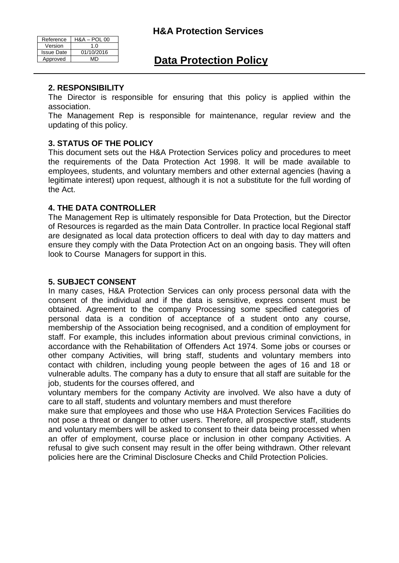| <b>H&amp;A Protection Services</b> |  |
|------------------------------------|--|
|------------------------------------|--|

| Reference         | <b>H&amp;A - POL 00</b> |
|-------------------|-------------------------|
| Version           | 1.0                     |
| <b>Issue Date</b> | 01/10/2016              |
| Approved          | MD.                     |

## **2. RESPONSIBILITY**

The Director is responsible for ensuring that this policy is applied within the association.

The Management Rep is responsible for maintenance, regular review and the updating of this policy.

### **3. STATUS OF THE POLICY**

This document sets out the H&A Protection Services policy and procedures to meet the requirements of the Data Protection Act 1998. It will be made available to employees, students, and voluntary members and other external agencies (having a legitimate interest) upon request, although it is not a substitute for the full wording of the Act.

#### **4. THE DATA CONTROLLER**

The Management Rep is ultimately responsible for Data Protection, but the Director of Resources is regarded as the main Data Controller. In practice local Regional staff are designated as local data protection officers to deal with day to day matters and ensure they comply with the Data Protection Act on an ongoing basis. They will often look to Course Managers for support in this.

#### **5. SUBJECT CONSENT**

In many cases, H&A Protection Services can only process personal data with the consent of the individual and if the data is sensitive, express consent must be obtained. Agreement to the company Processing some specified categories of personal data is a condition of acceptance of a student onto any course, membership of the Association being recognised, and a condition of employment for staff. For example, this includes information about previous criminal convictions, in accordance with the Rehabilitation of Offenders Act 1974. Some jobs or courses or other company Activities, will bring staff, students and voluntary members into contact with children, including young people between the ages of 16 and 18 or vulnerable adults. The company has a duty to ensure that all staff are suitable for the job, students for the courses offered, and

voluntary members for the company Activity are involved. We also have a duty of care to all staff, students and voluntary members and must therefore

make sure that employees and those who use H&A Protection Services Facilities do not pose a threat or danger to other users. Therefore, all prospective staff, students and voluntary members will be asked to consent to their data being processed when an offer of employment, course place or inclusion in other company Activities. A refusal to give such consent may result in the offer being withdrawn. Other relevant policies here are the Criminal Disclosure Checks and Child Protection Policies.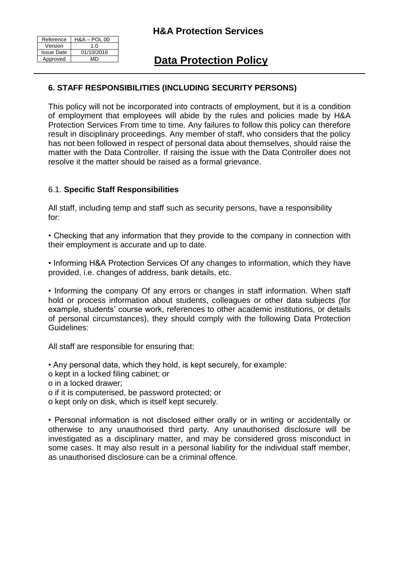| Reference         | <b>H&amp;A - POL 00</b> |
|-------------------|-------------------------|
| Version           | 1.0                     |
| <b>Issue Date</b> | 01/10/2016              |
| Approved          | MD                      |

# **6. STAFF RESPONSIBILITIES (INCLUDING SECURITY PERSONS)**

This policy will not be incorporated into contracts of employment, but it is a condition of employment that employees will abide by the rules and policies made by H&A Protection Services From time to time. Any failures to follow this policy can therefore result in disciplinary proceedings. Any member of staff, who considers that the policy has not been followed in respect of personal data about themselves, should raise the matter with the Data Controller. If raising the issue with the Data Controller does not resolve it the matter should be raised as a formal grievance.

### 6.1. **Specific Staff Responsibilities**

All staff, including temp and staff such as security persons, have a responsibility for:

• Checking that any information that they provide to the company in connection with their employment is accurate and up to date.

• Informing H&A Protection Services Of any changes to information, which they have provided, i.e. changes of address, bank details, etc.

• Informing the company Of any errors or changes in staff information. When staff hold or process information about students, colleagues or other data subjects (for example, students' course work, references to other academic institutions, or details of personal circumstances), they should comply with the following Data Protection Guidelines:

All staff are responsible for ensuring that:

• Any personal data, which they hold, is kept securely, for example:

o kept in a locked filing cabinet; or

o in a locked drawer;

- o if it is computerised, be password protected; or
- o kept only on disk, which is itself kept securely.

• Personal information is not disclosed either orally or in writing or accidentally or otherwise to any unauthorised third party. Any unauthorised disclosure will be investigated as a disciplinary matter, and may be considered gross misconduct in some cases. It may also result in a personal liability for the individual staff member, as unauthorised disclosure can be a criminal offence.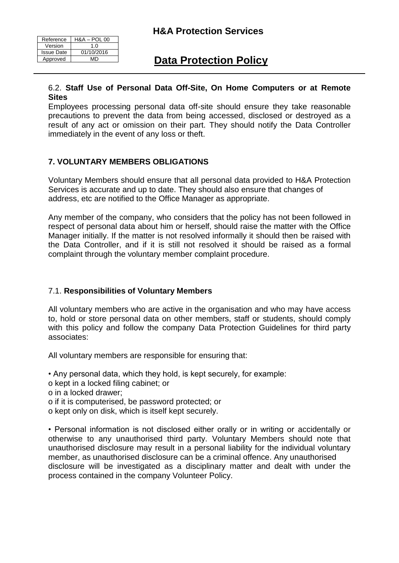| Reference         | <b>H&amp;A - POL 00</b> |
|-------------------|-------------------------|
| Version           | 1.0                     |
| <b>Issue Date</b> | 01/10/2016              |
| Approved          | ۸ΛΓΣ                    |

#### 6.2. **Staff Use of Personal Data Off-Site, On Home Computers or at Remote Sites**

Employees processing personal data off-site should ensure they take reasonable precautions to prevent the data from being accessed, disclosed or destroyed as a result of any act or omission on their part. They should notify the Data Controller immediately in the event of any loss or theft.

# **7. VOLUNTARY MEMBERS OBLIGATIONS**

Voluntary Members should ensure that all personal data provided to H&A Protection Services is accurate and up to date. They should also ensure that changes of address, etc are notified to the Office Manager as appropriate.

Any member of the company, who considers that the policy has not been followed in respect of personal data about him or herself, should raise the matter with the Office Manager initially. If the matter is not resolved informally it should then be raised with the Data Controller, and if it is still not resolved it should be raised as a formal complaint through the voluntary member complaint procedure.

# 7.1. **Responsibilities of Voluntary Members**

All voluntary members who are active in the organisation and who may have access to, hold or store personal data on other members, staff or students, should comply with this policy and follow the company Data Protection Guidelines for third party associates:

All voluntary members are responsible for ensuring that:

• Any personal data, which they hold, is kept securely, for example:

o kept in a locked filing cabinet; or

- o in a locked drawer;
- o if it is computerised, be password protected; or

o kept only on disk, which is itself kept securely.

• Personal information is not disclosed either orally or in writing or accidentally or otherwise to any unauthorised third party. Voluntary Members should note that unauthorised disclosure may result in a personal liability for the individual voluntary member, as unauthorised disclosure can be a criminal offence. Any unauthorised disclosure will be investigated as a disciplinary matter and dealt with under the process contained in the company Volunteer Policy.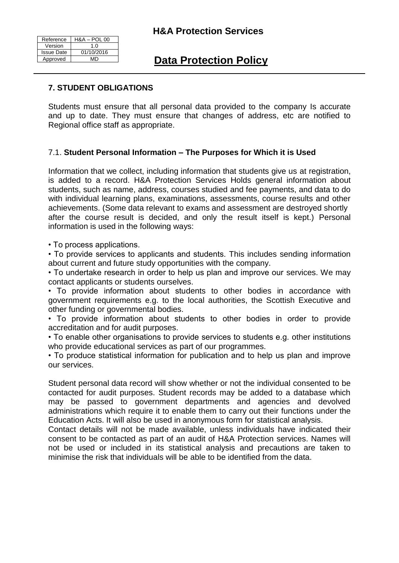# **H&A Protection Services**

| Reference         | <b>H&amp;A - POL 00</b> |
|-------------------|-------------------------|
| Version           | 1.0                     |
| <b>Issue Date</b> | 01/10/2016              |
| Approved          | MD                      |

# **Data Protection Policy**

## **7. STUDENT OBLIGATIONS**

Students must ensure that all personal data provided to the company Is accurate and up to date. They must ensure that changes of address, etc are notified to Regional office staff as appropriate.

### 7.1. **Student Personal Information – The Purposes for Which it is Used**

Information that we collect, including information that students give us at registration, is added to a record. H&A Protection Services Holds general information about students, such as name, address, courses studied and fee payments, and data to do with individual learning plans, examinations, assessments, course results and other achievements. (Some data relevant to exams and assessment are destroyed shortly after the course result is decided, and only the result itself is kept.) Personal information is used in the following ways:

• To process applications.

• To provide services to applicants and students. This includes sending information about current and future study opportunities with the company.

• To undertake research in order to help us plan and improve our services. We may contact applicants or students ourselves.

• To provide information about students to other bodies in accordance with government requirements e.g. to the local authorities, the Scottish Executive and other funding or governmental bodies.

• To provide information about students to other bodies in order to provide accreditation and for audit purposes.

• To enable other organisations to provide services to students e.g. other institutions who provide educational services as part of our programmes.

• To produce statistical information for publication and to help us plan and improve our services.

Student personal data record will show whether or not the individual consented to be contacted for audit purposes. Student records may be added to a database which may be passed to government departments and agencies and devolved administrations which require it to enable them to carry out their functions under the Education Acts. It will also be used in anonymous form for statistical analysis.

Contact details will not be made available, unless individuals have indicated their consent to be contacted as part of an audit of H&A Protection services. Names will not be used or included in its statistical analysis and precautions are taken to minimise the risk that individuals will be able to be identified from the data.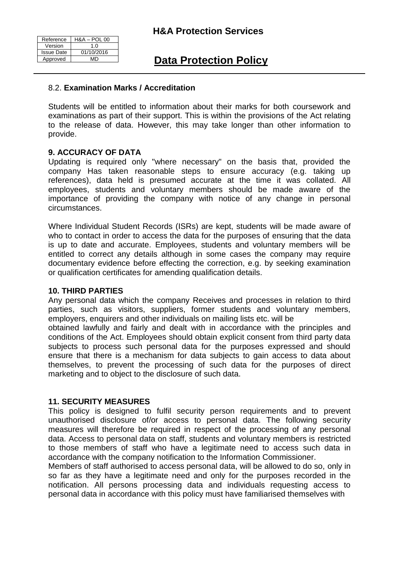| Reference         | <b>H&amp;A - POL 00</b> |
|-------------------|-------------------------|
| Version           | 1.0                     |
| <b>Issue Date</b> | 01/10/2016              |
| Approved          | MD                      |

### 8.2. **Examination Marks / Accreditation**

Students will be entitled to information about their marks for both coursework and examinations as part of their support. This is within the provisions of the Act relating to the release of data. However, this may take longer than other information to provide.

#### **9. ACCURACY OF DATA**

Updating is required only "where necessary" on the basis that, provided the company Has taken reasonable steps to ensure accuracy (e.g. taking up references), data held is presumed accurate at the time it was collated. All employees, students and voluntary members should be made aware of the importance of providing the company with notice of any change in personal circumstances.

Where Individual Student Records (ISRs) are kept, students will be made aware of who to contact in order to access the data for the purposes of ensuring that the data is up to date and accurate. Employees, students and voluntary members will be entitled to correct any details although in some cases the company may require documentary evidence before effecting the correction, e.g. by seeking examination or qualification certificates for amending qualification details.

#### **10. THIRD PARTIES**

Any personal data which the company Receives and processes in relation to third parties, such as visitors, suppliers, former students and voluntary members, employers, enquirers and other individuals on mailing lists etc. will be

obtained lawfully and fairly and dealt with in accordance with the principles and conditions of the Act. Employees should obtain explicit consent from third party data subjects to process such personal data for the purposes expressed and should ensure that there is a mechanism for data subjects to gain access to data about themselves, to prevent the processing of such data for the purposes of direct marketing and to object to the disclosure of such data.

#### **11. SECURITY MEASURES**

This policy is designed to fulfil security person requirements and to prevent unauthorised disclosure of/or access to personal data. The following security measures will therefore be required in respect of the processing of any personal data. Access to personal data on staff, students and voluntary members is restricted to those members of staff who have a legitimate need to access such data in accordance with the company notification to the Information Commissioner.

Members of staff authorised to access personal data, will be allowed to do so, only in so far as they have a legitimate need and only for the purposes recorded in the notification. All persons processing data and individuals requesting access to personal data in accordance with this policy must have familiarised themselves with